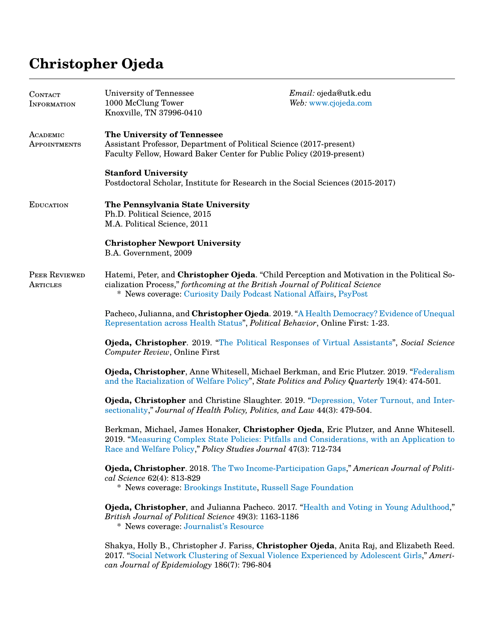## **Christopher Ojeda**

|                           | Knoxville, TN 37996-0410                                                                                                                                                                                                                                 | Web: www.cjojeda.com |
|---------------------------|----------------------------------------------------------------------------------------------------------------------------------------------------------------------------------------------------------------------------------------------------------|----------------------|
| ACADEMIC<br>APPOINTMENTS  | The University of Tennessee<br>Assistant Professor, Department of Political Science (2017-present)<br>Faculty Fellow, Howard Baker Center for Public Policy (2019-present)                                                                               |                      |
|                           | <b>Stanford University</b><br>Postdoctoral Scholar, Institute for Research in the Social Sciences (2015-2017)                                                                                                                                            |                      |
| <b>EDUCATION</b>          | The Pennsylvania State University<br>Ph.D. Political Science, 2015<br>M.A. Political Science, 2011                                                                                                                                                       |                      |
|                           | <b>Christopher Newport University</b><br>B.A. Government, 2009                                                                                                                                                                                           |                      |
| PEER REVIEWED<br>ARTICLES | Hatemi, Peter, and Christopher Ojeda. "Child Perception and Motivation in the Political So-<br>cialization Process," forthcoming at the British Journal of Political Science<br>* News coverage: Curiosity Daily Podcast National Affairs, PsyPost       |                      |
|                           | Pacheco, Julianna, and Christopher Ojeda. 2019. "A Health Democracy? Evidence of Unequal<br>Representation across Health Status", <i>Political Behavior</i> , Online First: 1-23.                                                                        |                      |
|                           | Ojeda, Christopher. 2019. "The Political Responses of Virtual Assistants", Social Science<br>Computer Review, Online First                                                                                                                               |                      |
|                           | Ojeda, Christopher, Anne Whitesell, Michael Berkman, and Eric Plutzer. 2019. "Federalism<br>and the Racialization of Welfare Policy", State Politics and Policy Quarterly 19(4): 474-501.                                                                |                      |
|                           | Ojeda, Christopher and Christine Slaughter. 2019. "Depression, Voter Turnout, and Inter-<br>sectionality," Journal of Health Policy, Politics, and Law 44(3): 479-504.                                                                                   |                      |
|                           | Berkman, Michael, James Honaker, Christopher Ojeda, Eric Plutzer, and Anne Whitesell.<br>2019. "Measuring Complex State Policies: Pitfalls and Considerations, with an Application to<br>Race and Welfare Policy," Policy Studies Journal 47(3): 712-734 |                      |
|                           | Ojeda, Christopher. 2018. The Two Income-Participation Gaps," American Journal of Politi-<br>cal Science 62(4): 813-829<br>* News coverage: Brookings Institute, Russell Sage Foundation                                                                 |                      |
|                           | Ojeda, Christopher, and Julianna Pacheco. 2017. "Health and Voting in Young Adulthood,"<br>British Journal of Political Science 49(3): 1163-1186<br>* News coverage: Journalist's Resource                                                               |                      |
|                           | Shakya, Holly B., Christopher J. Fariss, Christopher Ojeda, Anita Raj, and Elizabeth Reed.<br>2017. "Social Network Clustering of Sexual Violence Experienced by Adolescent Girls," Ameri-<br>can Journal of Epidemiology 186(7): 796-804                |                      |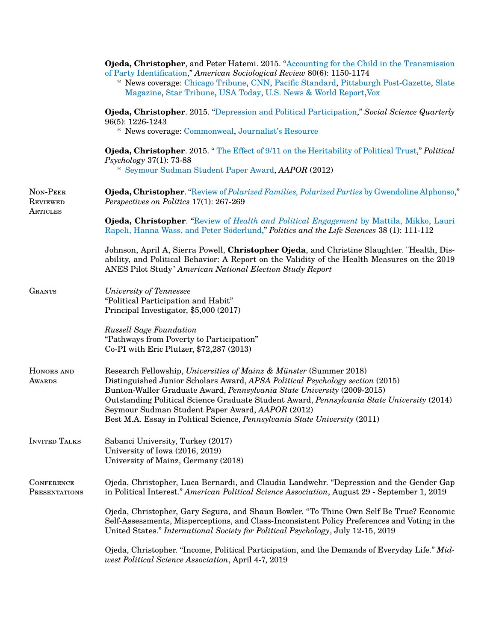|                                         | Ojeda, Christopher, and Peter Hatemi. 2015. "Accounting for the Child in the Transmission<br>of Party Identification," American Sociological Review 80(6): 1150-1174<br>* News coverage: Chicago Tribune, CNN, Pacific Standard, Pittsburgh Post-Gazette, Slate<br>Magazine, Star Tribune, USA Today, U.S. News & World Report, Vox                                                                                                                                   |  |
|-----------------------------------------|-----------------------------------------------------------------------------------------------------------------------------------------------------------------------------------------------------------------------------------------------------------------------------------------------------------------------------------------------------------------------------------------------------------------------------------------------------------------------|--|
|                                         | Ojeda, Christopher. 2015. "Depression and Political Participation," Social Science Quarterly<br>96(5): 1226-1243<br>* News coverage: Commonweal, Journalist's Resource                                                                                                                                                                                                                                                                                                |  |
|                                         | <b>Ojeda, Christopher.</b> 2015. "The Effect of 9/11 on the Heritability of Political Trust," Political<br>$Psychology 37(1): 73-88$<br>* Seymour Sudman Student Paper Award, AAPOR (2012)                                                                                                                                                                                                                                                                            |  |
| NON-PEER<br><b>REVIEWED</b><br>ARTICLES | Ojeda, Christopher. "Review of Polarized Families, Polarized Parties by Gwendoline Alphonso,"<br>Perspectives on Politics 17(1): 267-269                                                                                                                                                                                                                                                                                                                              |  |
|                                         | <b>Ojeda, Christopher.</b> "Review of Health and Political Engagement by Mattila, Mikko, Lauri<br>Rapeli, Hanna Wass, and Peter Söderlund," Politics and the Life Sciences 38 (1): 111-112                                                                                                                                                                                                                                                                            |  |
|                                         | Johnson, April A, Sierra Powell, Christopher Ojeda, and Christine Slaughter. "Health, Dis-<br>ability, and Political Behavior: A Report on the Validity of the Health Measures on the 2019<br>ANES Pilot Study" American National Election Study Report                                                                                                                                                                                                               |  |
| <b>GRANTS</b>                           | University of Tennessee<br>"Political Participation and Habit"<br>Principal Investigator, \$5,000 (2017)                                                                                                                                                                                                                                                                                                                                                              |  |
|                                         | <b>Russell Sage Foundation</b><br>"Pathways from Poverty to Participation"<br>Co-PI with Eric Plutzer, \$72,287 (2013)                                                                                                                                                                                                                                                                                                                                                |  |
| HONORS AND<br><b>AWARDS</b>             | Research Fellowship, Universities of Mainz & Münster (Summer 2018)<br>Distinguished Junior Scholars Award, APSA Political Psychology section (2015)<br>Bunton-Waller Graduate Award, Pennsylvania State University (2009-2015)<br>Outstanding Political Science Graduate Student Award, Pennsylvania State University (2014)<br>Seymour Sudman Student Paper Award, AAPOR (2012)<br>Best M.A. Essay in Political Science, <i>Pennsylvania State University</i> (2011) |  |
| <b>INVITED TALKS</b>                    | Sabanci University, Turkey (2017)<br>University of Iowa (2016, 2019)<br>University of Mainz, Germany (2018)                                                                                                                                                                                                                                                                                                                                                           |  |
| <b>CONFERENCE</b><br>PRESENTATIONS      | Ojeda, Christopher, Luca Bernardi, and Claudia Landwehr. "Depression and the Gender Gap<br>in Political Interest." American Political Science Association, August 29 - September 1, 2019                                                                                                                                                                                                                                                                              |  |
|                                         | Ojeda, Christopher, Gary Segura, and Shaun Bowler. "To Thine Own Self Be True? Economic<br>Self-Assessments, Misperceptions, and Class-Inconsistent Policy Preferences and Voting in the<br>United States." International Society for Political Psychology, July 12-15, 2019                                                                                                                                                                                          |  |
|                                         | Ojeda, Christopher. "Income, Political Participation, and the Demands of Everyday Life." Mid-<br>west Political Science Association, April 4-7, 2019                                                                                                                                                                                                                                                                                                                  |  |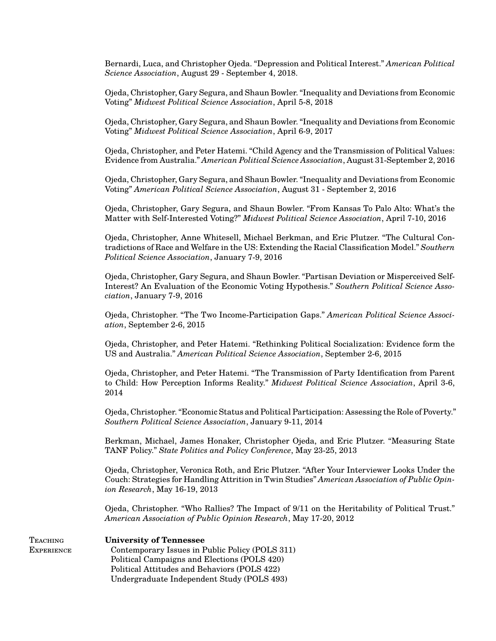Bernardi, Luca, and Christopher Ojeda. "Depression and Political Interest." *American Political Science Association*, August 29 - September 4, 2018.

Ojeda, Christopher, Gary Segura, and Shaun Bowler. "Inequality and Deviations from Economic Voting" *Midwest Political Science Association*, April 5-8, 2018

Ojeda, Christopher, Gary Segura, and Shaun Bowler. "Inequality and Deviations from Economic Voting" *Midwest Political Science Association*, April 6-9, 2017

Ojeda, Christopher, and Peter Hatemi. "Child Agency and the Transmission of Political Values: Evidence from Australia." *American Political Science Association*, August 31-September 2, 2016

Ojeda, Christopher, Gary Segura, and Shaun Bowler. "Inequality and Deviations from Economic Voting" *American Political Science Association*, August 31 - September 2, 2016

Ojeda, Christopher, Gary Segura, and Shaun Bowler. "From Kansas To Palo Alto: What's the Matter with Self-Interested Voting?" *Midwest Political Science Association*, April 7-10, 2016

Ojeda, Christopher, Anne Whitesell, Michael Berkman, and Eric Plutzer. "The Cultural Contradictions of Race and Welfare in the US: Extending the Racial Classification Model." *Southern Political Science Association*, January 7-9, 2016

Ojeda, Christopher, Gary Segura, and Shaun Bowler. "Partisan Deviation or Misperceived Self-Interest? An Evaluation of the Economic Voting Hypothesis." *Southern Political Science Association*, January 7-9, 2016

Ojeda, Christopher. "The Two Income-Participation Gaps." *American Political Science Association*, September 2-6, 2015

Ojeda, Christopher, and Peter Hatemi. "Rethinking Political Socialization: Evidence form the US and Australia." *American Political Science Association*, September 2-6, 2015

Ojeda, Christopher, and Peter Hatemi. "The Transmission of Party Identification from Parent to Child: How Perception Informs Reality." *Midwest Political Science Association*, April 3-6, 2014

Ojeda, Christopher. "Economic Status and Political Participation: Assessing the Role of Poverty." *Southern Political Science Association*, January 9-11, 2014

Berkman, Michael, James Honaker, Christopher Ojeda, and Eric Plutzer. "Measuring State TANF Policy." *State Politics and Policy Conference*, May 23-25, 2013

Ojeda, Christopher, Veronica Roth, and Eric Plutzer. "After Your Interviewer Looks Under the Couch: Strategies for Handling Attrition in Twin Studies" *American Association of Public Opinion Research*, May 16-19, 2013

Ojeda, Christopher. "Who Rallies? The Impact of 9/11 on the Heritability of Political Trust." *American Association of Public Opinion Research*, May 17-20, 2012

## Teaching **University of Tennessee**

**EXPERIENCE** 

Contemporary Issues in Public Policy (POLS 311) Political Campaigns and Elections (POLS 420) Political Attitudes and Behaviors (POLS 422) Undergraduate Independent Study (POLS 493)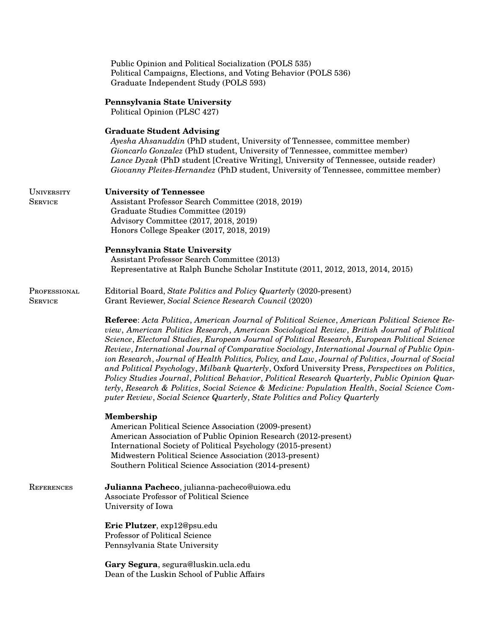|                                     | Public Opinion and Political Socialization (POLS 535)<br>Political Campaigns, Elections, and Voting Behavior (POLS 536)<br>Graduate Independent Study (POLS 593)                                                                                                                                                                                                                                                                                                                                                                                                                                                                                                                                                                                                                                                                                                                           |
|-------------------------------------|--------------------------------------------------------------------------------------------------------------------------------------------------------------------------------------------------------------------------------------------------------------------------------------------------------------------------------------------------------------------------------------------------------------------------------------------------------------------------------------------------------------------------------------------------------------------------------------------------------------------------------------------------------------------------------------------------------------------------------------------------------------------------------------------------------------------------------------------------------------------------------------------|
|                                     | Pennsylvania State University<br>Political Opinion (PLSC 427)                                                                                                                                                                                                                                                                                                                                                                                                                                                                                                                                                                                                                                                                                                                                                                                                                              |
|                                     | <b>Graduate Student Advising</b><br>Ayesha Ahsanuddin (PhD student, University of Tennessee, committee member)<br>Gioncarlo Gonzalez (PhD student, University of Tennessee, committee member)<br>Lance Dyzak (PhD student [Creative Writing], University of Tennessee, outside reader)<br>Giovanny Pleites-Hernandez (PhD student, University of Tennessee, committee member)                                                                                                                                                                                                                                                                                                                                                                                                                                                                                                              |
| <b>UNIVERSITY</b><br><b>SERVICE</b> | <b>University of Tennessee</b><br>Assistant Professor Search Committee (2018, 2019)<br>Graduate Studies Committee (2019)<br>Advisory Committee (2017, 2018, 2019)<br>Honors College Speaker (2017, 2018, 2019)                                                                                                                                                                                                                                                                                                                                                                                                                                                                                                                                                                                                                                                                             |
|                                     | Pennsylvania State University<br>Assistant Professor Search Committee (2013)<br>Representative at Ralph Bunche Scholar Institute (2011, 2012, 2013, 2014, 2015)                                                                                                                                                                                                                                                                                                                                                                                                                                                                                                                                                                                                                                                                                                                            |
| PROFESSIONAL<br><b>SERVICE</b>      | Editorial Board, State Politics and Policy Quarterly (2020-present)<br>Grant Reviewer, Social Science Research Council (2020)                                                                                                                                                                                                                                                                                                                                                                                                                                                                                                                                                                                                                                                                                                                                                              |
|                                     | Referee: Acta Politica, American Journal of Political Science, American Political Science Re-<br>view, American Politics Research, American Sociological Review, British Journal of Political<br>Science, Electoral Studies, European Journal of Political Research, European Political Science<br>Review, International Journal of Comparative Sociology, International Journal of Public Opin-<br>ion Research, Journal of Health Politics, Policy, and Law, Journal of Politics, Journal of Social<br>and Political Psychology, Milbank Quarterly, Oxford University Press, Perspectives on Politics,<br>Policy Studies Journal, Political Behavior, Political Research Quarterly, Public Opinion Quar-<br>terly, Research & Politics, Social Science & Medicine: Population Health, Social Science Com-<br>puter Review, Social Science Quarterly, State Politics and Policy Quarterly |
|                                     | <b>Membership</b><br>American Political Science Association (2009-present)<br>American Association of Public Opinion Research (2012-present)<br>International Society of Political Psychology (2015-present)<br>Midwestern Political Science Association (2013-present)<br>Southern Political Science Association (2014-present)                                                                                                                                                                                                                                                                                                                                                                                                                                                                                                                                                           |
| REFERENCES                          | Julianna Pacheco, julianna-pacheco@uiowa.edu<br><b>Associate Professor of Political Science</b><br>University of Iowa                                                                                                                                                                                                                                                                                                                                                                                                                                                                                                                                                                                                                                                                                                                                                                      |
|                                     | Eric Plutzer, exp12@psu.edu<br>Professor of Political Science<br>Pennsylvania State University                                                                                                                                                                                                                                                                                                                                                                                                                                                                                                                                                                                                                                                                                                                                                                                             |
|                                     | Gary Segura, segura@luskin.ucla.edu<br>Dean of the Luskin School of Public Affairs                                                                                                                                                                                                                                                                                                                                                                                                                                                                                                                                                                                                                                                                                                                                                                                                         |